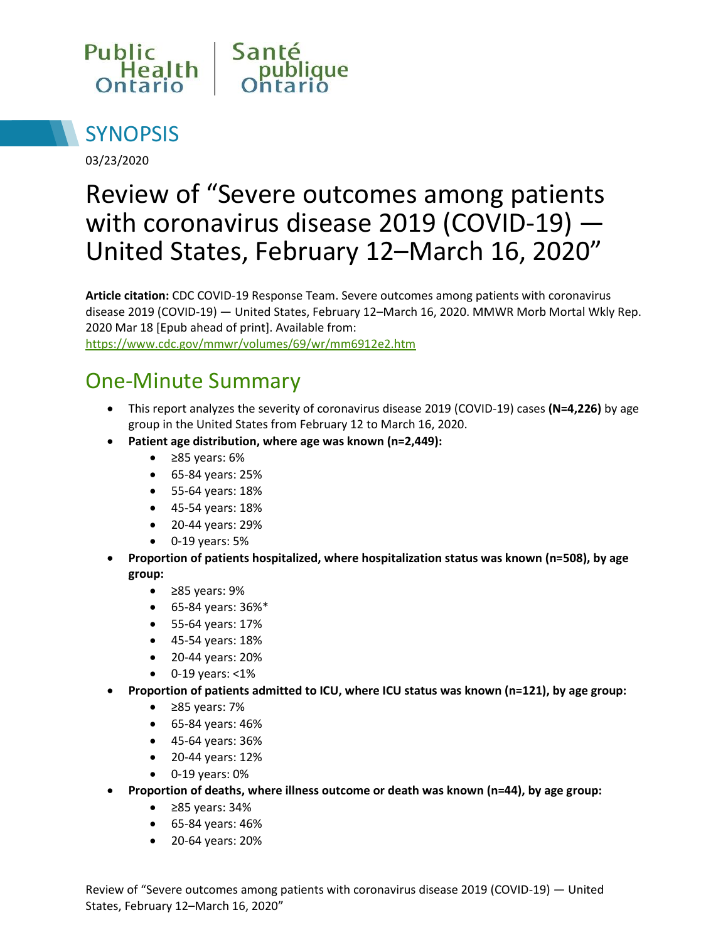



03/23/2020

# Review of "Severe outcomes among patients with coronavirus disease 2019 (COVID-19) — United States, February 12–March 16, 2020"

**Article citation:** CDC COVID-19 Response Team. Severe outcomes among patients with coronavirus disease 2019 (COVID-19) — United States, February 12–March 16, 2020. MMWR Morb Mortal Wkly Rep. 2020 Mar 18 [Epub ahead of print]. Available from: <https://www.cdc.gov/mmwr/volumes/69/wr/mm6912e2.htm>

### One-Minute Summary

- This report analyzes the severity of coronavirus disease 2019 (COVID-19) cases **(N=4,226)** by age group in the United States from February 12 to March 16, 2020.
- **Patient age distribution, where age was known (n=2,449):**
	- ≥85 years: 6%
	- 65-84 years: 25%
	- 55-64 years: 18%
	- 45-54 years: 18%
	- 20-44 years: 29%
	- $\bullet$  0-19 years: 5%
- **Proportion of patients hospitalized, where hospitalization status was known (n=508), by age group:** 
	- ≥85 years: 9%
	- 65-84 years: 36%\*
	- 55-64 years: 17%
	- 45-54 years: 18%
	- 20-44 years: 20%
	- $\bullet$  0-19 years: <1%
- **Proportion of patients admitted to ICU, where ICU status was known (n=121), by age group:** 
	- ≥85 years: 7%
	- 65-84 years: 46%
	- 45-64 years: 36%
	- 20-44 years: 12%
	- $\bullet$  0-19 years: 0%
- **Proportion of deaths, where illness outcome or death was known (n=44), by age group:** 
	- ≥85 years: 34%
	- 65-84 years: 46%
	- 20-64 years: 20%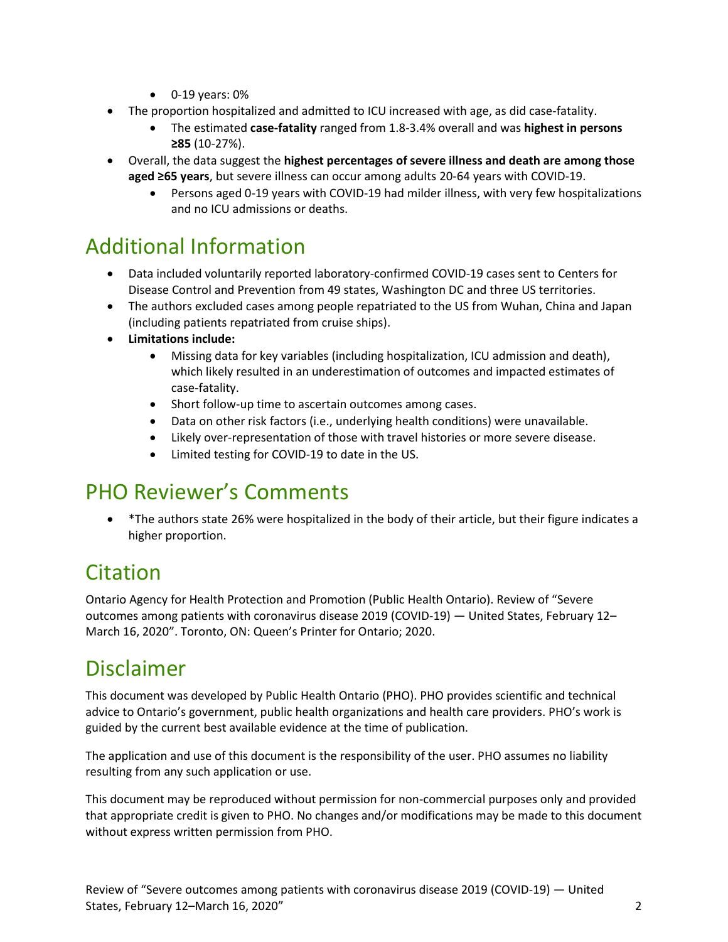- $\bullet$  0-19 years: 0%
- The proportion hospitalized and admitted to ICU increased with age, as did case-fatality.
	- The estimated **case-fatality** ranged from 1.8-3.4% overall and was **highest in persons ≥85** (10-27%).
- Overall, the data suggest the **highest percentages of severe illness and death are among those aged ≥65 years**, but severe illness can occur among adults 20-64 years with COVID-19.
	- Persons aged 0-19 years with COVID-19 had milder illness, with very few hospitalizations and no ICU admissions or deaths.

## Additional Information

- Data included voluntarily reported laboratory-confirmed COVID-19 cases sent to Centers for Disease Control and Prevention from 49 states, Washington DC and three US territories.
- The authors excluded cases among people repatriated to the US from Wuhan, China and Japan (including patients repatriated from cruise ships).
- **Limitations include:** 
	- Missing data for key variables (including hospitalization, ICU admission and death), which likely resulted in an underestimation of outcomes and impacted estimates of case-fatality.
	- Short follow-up time to ascertain outcomes among cases.
	- Data on other risk factors (i.e., underlying health conditions) were unavailable.
	- Likely over-representation of those with travel histories or more severe disease.
	- Limited testing for COVID-19 to date in the US.

#### PHO Reviewer's Comments

 \*The authors state 26% were hospitalized in the body of their article, but their figure indicates a higher proportion.

#### Citation

Ontario Agency for Health Protection and Promotion (Public Health Ontario). Review of "Severe outcomes among patients with coronavirus disease 2019 (COVID-19) — United States, February 12– March 16, 2020". Toronto, ON: Queen's Printer for Ontario; 2020.

#### Disclaimer

This document was developed by Public Health Ontario (PHO). PHO provides scientific and technical advice to Ontario's government, public health organizations and health care providers. PHO's work is guided by the current best available evidence at the time of publication.

The application and use of this document is the responsibility of the user. PHO assumes no liability resulting from any such application or use.

This document may be reproduced without permission for non-commercial purposes only and provided that appropriate credit is given to PHO. No changes and/or modifications may be made to this document without express written permission from PHO.